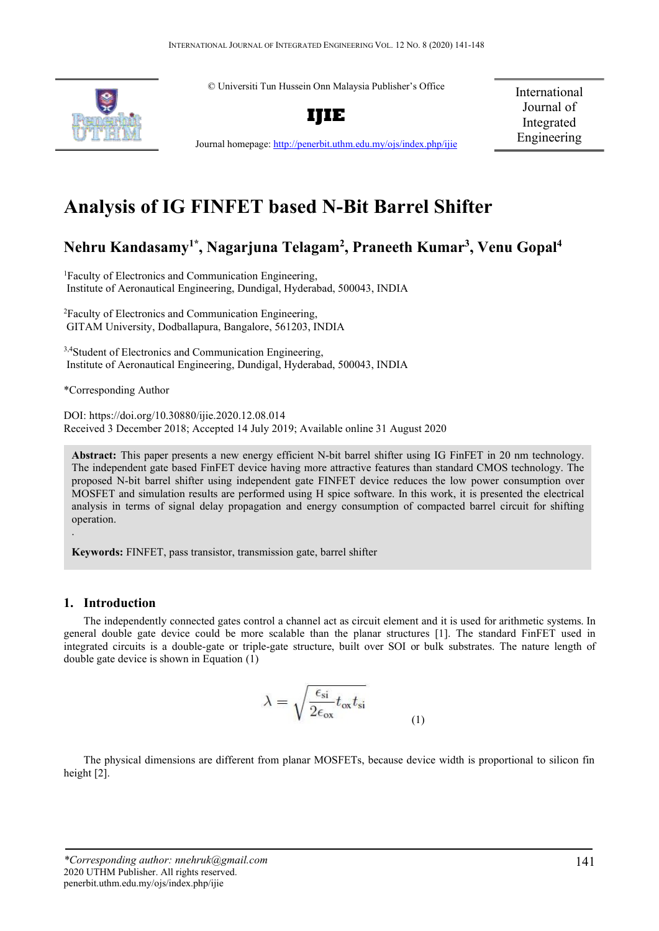© Universiti Tun Hussein Onn Malaysia Publisher's Office



**IJIE**

International Journal of Integrated Engineering

Journal homepage:<http://penerbit.uthm.edu.my/ojs/index.php/ijie>

# **Analysis of IG FINFET based N-Bit Barrel Shifter**

# **Nehru Kandasamy1\*, Nagarjuna Telagam2 , Praneeth Kumar3 , Venu Gopal4**

1 Faculty of Electronics and Communication Engineering, Institute of Aeronautical Engineering, Dundigal, Hyderabad, 500043, INDIA

2 Faculty of Electronics and Communication Engineering, GITAM University, Dodballapura, Bangalore, 561203, INDIA

<sup>3,4</sup>Student of Electronics and Communication Engineering, Institute of Aeronautical Engineering, Dundigal, Hyderabad, 500043, INDIA

\*Corresponding Author

DOI: https://doi.org/10.30880/ijie.2020.12.08.014 Received 3 December 2018; Accepted 14 July 2019; Available online 31 August 2020

**Abstract:** This paper presents a new energy efficient N-bit barrel shifter using IG FinFET in 20 nm technology. The independent gate based FinFET device having more attractive features than standard CMOS technology. The proposed N-bit barrel shifter using independent gate FINFET device reduces the low power consumption over MOSFET and simulation results are performed using H spice software. In this work, it is presented the electrical analysis in terms of signal delay propagation and energy consumption of compacted barrel circuit for shifting operation.

**Keywords:** FINFET, pass transistor, transmission gate, barrel shifter

## **1. Introduction**

.

The independently connected gates control a channel act as circuit element and it is used for arithmetic systems. In general double gate device could be more scalable than the planar structures [1]. The standard FinFET used in integrated circuits is a double-gate or triple-gate structure, built over SOI or bulk substrates. The nature length of double gate device is shown in Equation (1)

$$
\lambda = \sqrt{\frac{\epsilon_{\rm si}}{2\epsilon_{\rm ox}} t_{\rm ox} t_{\rm si}}
$$
 (1)

The physical dimensions are different from planar MOSFETs, because device width is proportional to silicon fin height [2].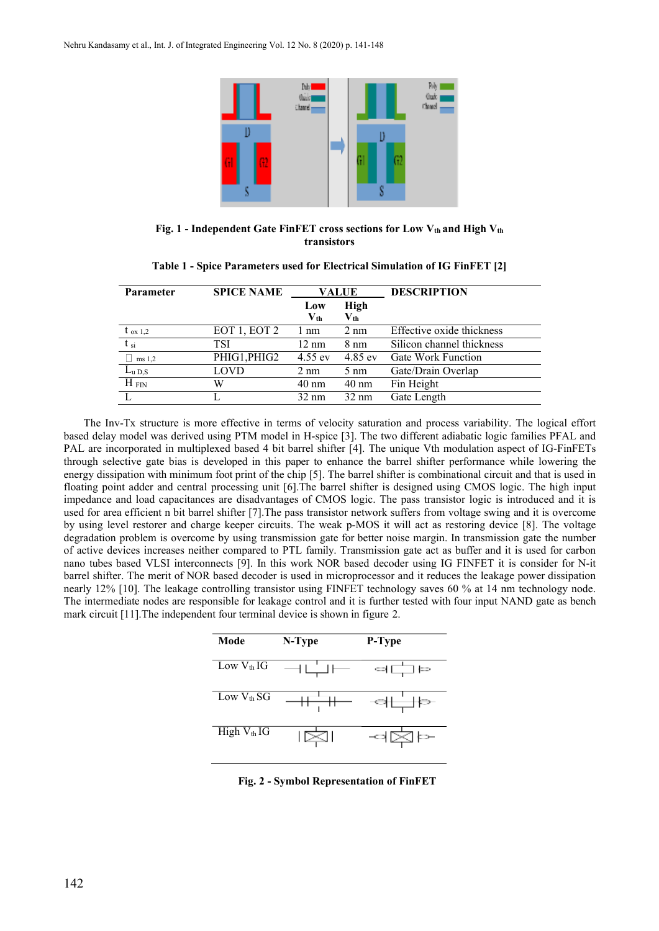

Fig. 1 - Independent Gate FinFET cross sections for Low V<sub>th</sub> and High V<sub>th</sub> **transistors**

| <b>Parameter</b>  | <b>SPICE NAME</b> | <b>VALUE</b>                               |                                                    | <b>DESCRIPTION</b>        |
|-------------------|-------------------|--------------------------------------------|----------------------------------------------------|---------------------------|
|                   |                   | Low<br>$\mathbf{V}_{\mathbf{t}\mathbf{h}}$ | <b>High</b><br>$\mathbf{V}_{\mathbf{t}\mathbf{h}}$ |                           |
| $t_{ox 1,2}$      | EOT 1, EOT 2      | l nm                                       | $2 \text{ nm}$                                     | Effective oxide thickness |
| $t_{\rm si}$      | TSI               | $12 \text{ nm}$                            | $8 \text{ nm}$                                     | Silicon channel thickness |
| ms 1,2            | PHIG1, PHIG2      | $4.55$ ev                                  | $4.85$ ev                                          | <b>Gate Work Function</b> |
| $L_{\rm u\, D,S}$ | LOVD              | $2 \text{ nm}$                             | $5 \text{ nm}$                                     | Gate/Drain Overlap        |
| $H_{\text{ FIN}}$ | W                 | $40 \text{ nm}$                            | $40 \text{ nm}$                                    | Fin Height                |
|                   |                   | $32 \text{ nm}$                            | $32 \text{ nm}$                                    | Gate Length               |

**Table 1 - Spice Parameters used for Electrical Simulation of IG FinFET [2]**

The Inv-Tx structure is more effective in terms of velocity saturation and process variability. The logical effort based delay model was derived using PTM model in H-spice [3]. The two different adiabatic logic families PFAL and PAL are incorporated in multiplexed based 4 bit barrel shifter [4]. The unique Vth modulation aspect of IG-FinFETs through selective gate bias is developed in this paper to enhance the barrel shifter performance while lowering the energy dissipation with minimum foot print of the chip [5]. The barrel shifter is combinational circuit and that is used in floating point adder and central processing unit [6].The barrel shifter is designed using CMOS logic. The high input impedance and load capacitances are disadvantages of CMOS logic. The pass transistor logic is introduced and it is used for area efficient n bit barrel shifter [7].The pass transistor network suffers from voltage swing and it is overcome by using level restorer and charge keeper circuits. The weak p-MOS it will act as restoring device [8]. The voltage degradation problem is overcome by using transmission gate for better noise margin. In transmission gate the number of active devices increases neither compared to PTL family. Transmission gate act as buffer and it is used for carbon nano tubes based VLSI interconnects [9]. In this work NOR based decoder using IG FINFET it is consider for N-it barrel shifter. The merit of NOR based decoder is used in microprocessor and it reduces the leakage power dissipation nearly 12% [10]. The leakage controlling transistor using FINFET technology saves 60 % at 14 nm technology node. The intermediate nodes are responsible for leakage control and it is further tested with four input NAND gate as bench mark circuit [11].The independent four terminal device is shown in figure 2.

| Mode                    | N-Type | P-Type                       |
|-------------------------|--------|------------------------------|
| Low $V_{th}$ IG         |        | 여다<br>] ∤≕                   |
| Low $V_{th}$ SG         |        | $\Rightarrow$ $\pm$<br>$\pm$ |
| High V <sub>th</sub> IG | $\geq$ | ⊸ ⊠<br>⊳                     |

**Fig. 2 - Symbol Representation of FinFET**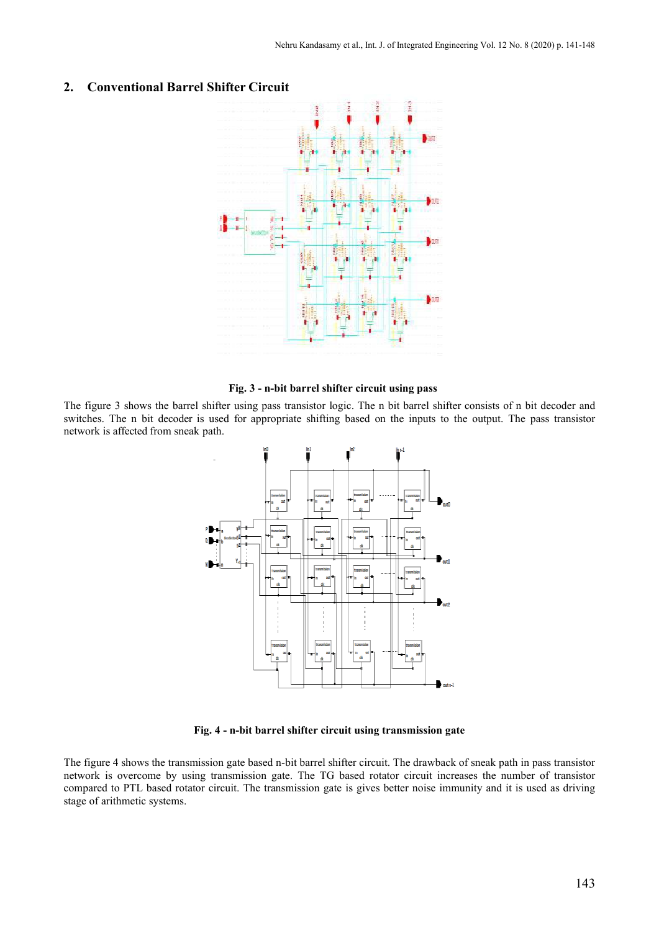

#### **2. Conventional Barrel Shifter Circuit**

**Fig. 3 - n-bit barrel shifter circuit using pass**

The figure 3 shows the barrel shifter using pass transistor logic. The n bit barrel shifter consists of n bit decoder and switches. The n bit decoder is used for appropriate shifting based on the inputs to the output. The pass transistor network is affected from sneak path.



**Fig. 4 - n-bit barrel shifter circuit using transmission gate**

The figure 4 shows the transmission gate based n-bit barrel shifter circuit. The drawback of sneak path in pass transistor network is overcome by using transmission gate. The TG based rotator circuit increases the number of transistor compared to PTL based rotator circuit. The transmission gate is gives better noise immunity and it is used as driving stage of arithmetic systems.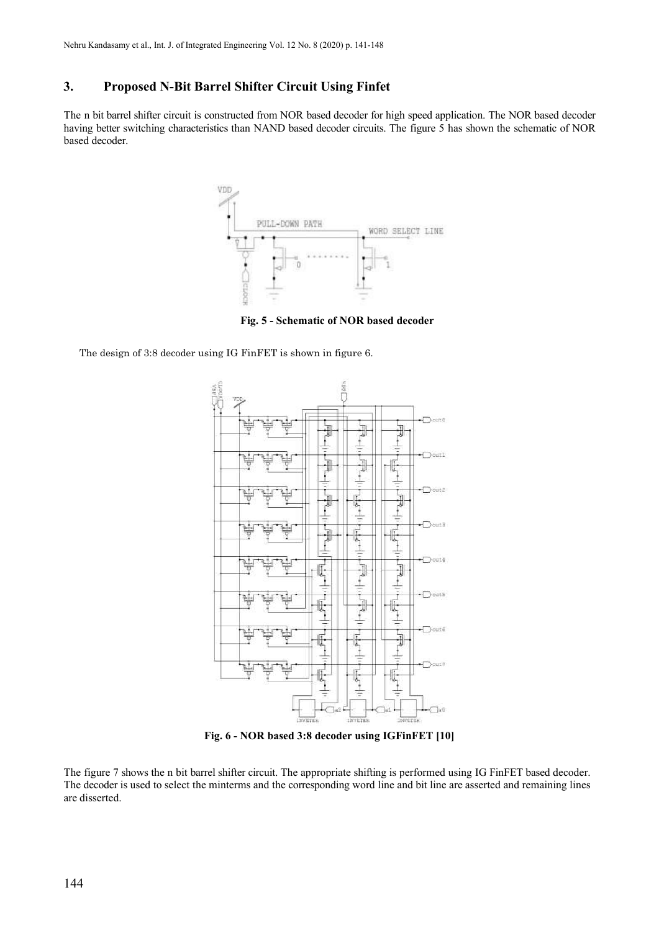# **3. Proposed N-Bit Barrel Shifter Circuit Using Finfet**

The n bit barrel shifter circuit is constructed from NOR based decoder for high speed application. The NOR based decoder having better switching characteristics than NAND based decoder circuits. The figure 5 has shown the schematic of NOR based decoder.



**Fig. 5 - Schematic of NOR based decoder**

The design of 3:8 decoder using IG FinFET is shown in figure 6.



**Fig. 6 - NOR based 3:8 decoder using IGFinFET [10]**

The figure 7 shows the n bit barrel shifter circuit. The appropriate shifting is performed using IG FinFET based decoder. The decoder is used to select the minterms and the corresponding word line and bit line are asserted and remaining lines are disserted.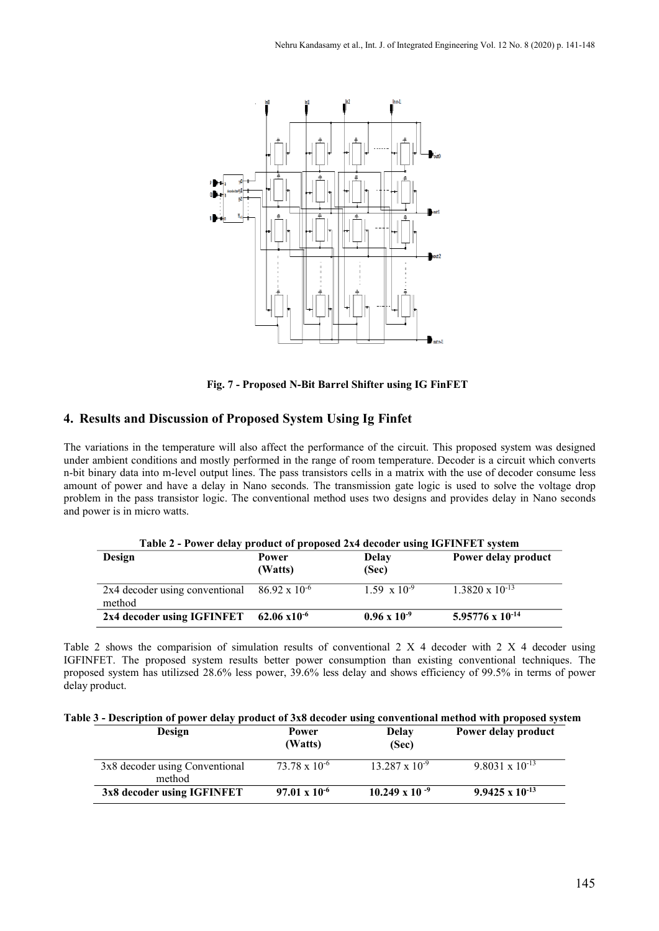

**Fig. 7 - Proposed N-Bit Barrel Shifter using IG FinFET**

# **4. Results and Discussion of Proposed System Using Ig Finfet**

The variations in the temperature will also affect the performance of the circuit. This proposed system was designed under ambient conditions and mostly performed in the range of room temperature. Decoder is a circuit which converts n-bit binary data into m-level output lines. The pass transistors cells in a matrix with the use of decoder consume less amount of power and have a delay in Nano seconds. The transmission gate logic is used to solve the voltage drop problem in the pass transistor logic. The conventional method uses two designs and provides delay in Nano seconds and power is in micro watts.

| Table 2 - Power delay product of proposed 2x4 decoder using IGFINFET system |                  |                       |                          |  |
|-----------------------------------------------------------------------------|------------------|-----------------------|--------------------------|--|
| Design                                                                      | Power<br>(Watts) | <b>Delay</b><br>(Sec) | Power delay product      |  |
| 2x4 decoder using conventional $86.92 \times 10^{-6}$<br>method             |                  | $1.59 \times 10^{-9}$ | $1.3820 \times 10^{-13}$ |  |
| $2x4$ decoder using IGFINFET 62.06 $x10^{-6}$                               |                  | $0.96 \times 10^{-9}$ | 5.95776 x $10^{-14}$     |  |

Table 2 shows the comparision of simulation results of conventional 2 X 4 decoder with 2 X 4 decoder using IGFINFET. The proposed system results better power consumption than existing conventional techniques. The proposed system has utilizsed 28.6% less power, 39.6% less delay and shows efficiency of 99.5% in terms of power delay product.

| Design                                   | Power<br>(Watts)       | <b>Delay</b><br>(Sec)   | Power delay product      |
|------------------------------------------|------------------------|-------------------------|--------------------------|
| 3x8 decoder using Conventional<br>method | $73.78 \times 10^{-6}$ | $13.287 \times 10^{-9}$ | 9.8031 x $10^{-13}$      |
| 3x8 decoder using IGFINFET               | $97.01 \times 10^{-6}$ | $10.249 \times 10^{-9}$ | $9.9425 \times 10^{-13}$ |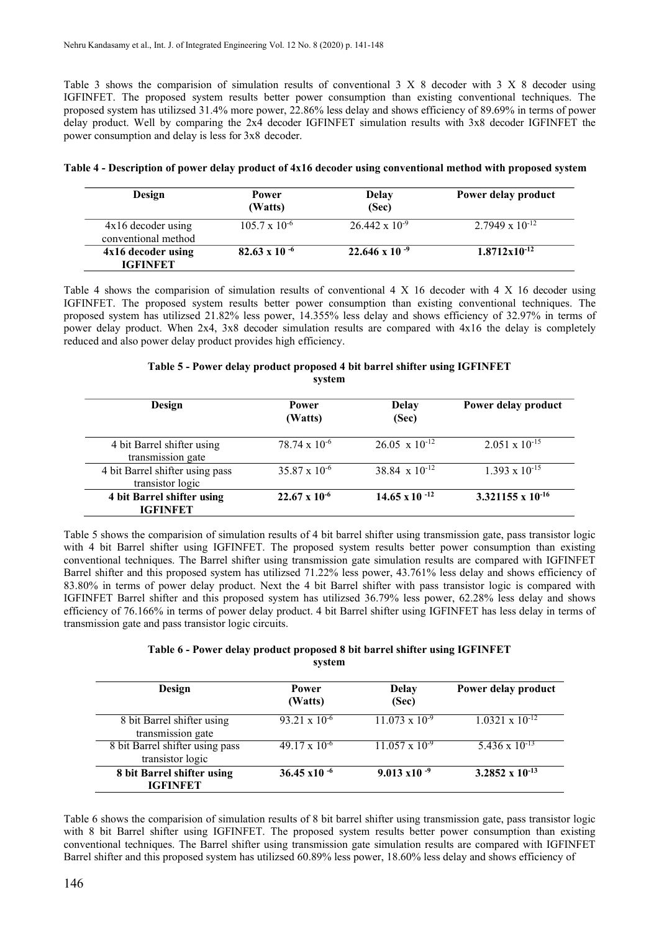Table 3 shows the comparision of simulation results of conventional 3 X 8 decoder with 3 X 8 decoder using IGFINFET. The proposed system results better power consumption than existing conventional techniques. The proposed system has utilizsed 31.4% more power, 22.86% less delay and shows efficiency of 89.69% in terms of power delay product. Well by comparing the 2x4 decoder IGFINFET simulation results with 3x8 decoder IGFINFET the power consumption and delay is less for 3x8 decoder.

| Design                                      | Power<br>(Watts)       | Delay<br>(Sec)          | Power delay product      |
|---------------------------------------------|------------------------|-------------------------|--------------------------|
| $4x16$ decoder using<br>conventional method | $105.7 \times 10^{-6}$ | $26.442 \times 10^{-9}$ | $2.7949 \times 10^{-12}$ |
| 4x16 decoder using<br><b>IGFINFET</b>       | 82.63 x 10 $-6$        | $22.646 \times 10^{-9}$ | $1.8712 \times 10^{-12}$ |

|  |  |  | Table 4 - Description of power delay product of 4x16 decoder using conventional method with proposed system |
|--|--|--|-------------------------------------------------------------------------------------------------------------|
|--|--|--|-------------------------------------------------------------------------------------------------------------|

Table 4 shows the comparision of simulation results of conventional 4 X 16 decoder with 4 X 16 decoder using IGFINFET. The proposed system results better power consumption than existing conventional techniques. The proposed system has utilizsed 21.82% less power, 14.355% less delay and shows efficiency of 32.97% in terms of power delay product. When 2x4, 3x8 decoder simulation results are compared with 4x16 the delay is completely reduced and also power delay product provides high efficiency.

#### **Table 5 - Power delay product proposed 4 bit barrel shifter using IGFINFET system**

| Design                                              | <b>Power</b><br>(Watts) | Delay<br>(Sec)                   | Power delay product     |
|-----------------------------------------------------|-------------------------|----------------------------------|-------------------------|
| 4 bit Barrel shifter using<br>transmission gate     | $78.74 \times 10^{-6}$  | $26.05 \times 10^{-12}$          | $2.051 \times 10^{-15}$ |
| 4 bit Barrel shifter using pass<br>transistor logic | $35.87 \times 10^{-6}$  | 38.84 $\times$ 10 <sup>-12</sup> | $1.393 \times 10^{-15}$ |
| 4 bit Barrel shifter using<br><b>IGFINFET</b>       | $22.67 \times 10^{-6}$  | $14.65 \times 10^{-12}$          | 3.321155 x $10^{-16}$   |

Table 5 shows the comparision of simulation results of 4 bit barrel shifter using transmission gate, pass transistor logic with 4 bit Barrel shifter using IGFINFET. The proposed system results better power consumption than existing conventional techniques. The Barrel shifter using transmission gate simulation results are compared with IGFINFET Barrel shifter and this proposed system has utilizsed 71.22% less power, 43.761% less delay and shows efficiency of 83.80% in terms of power delay product. Next the 4 bit Barrel shifter with pass transistor logic is compared with IGFINFET Barrel shifter and this proposed system has utilizsed 36.79% less power, 62.28% less delay and shows efficiency of 76.166% in terms of power delay product. 4 bit Barrel shifter using IGFINFET has less delay in terms of transmission gate and pass transistor logic circuits.

#### **Table 6 - Power delay product proposed 8 bit barrel shifter using IGFINFET system**

| Design                                              | Power<br>(Watts)       | <b>Delay</b><br>(Sec)   | Power delay product      |
|-----------------------------------------------------|------------------------|-------------------------|--------------------------|
| 8 bit Barrel shifter using<br>transmission gate     | $93.21 \times 10^{-6}$ | $11.073 \times 10^{-9}$ | $1.0321 \times 10^{-12}$ |
| 8 bit Barrel shifter using pass<br>transistor logic | $49.17 \times 10^{-6}$ | $11.057 \times 10^{-9}$ | 5.436 x $10^{-13}$       |
| 8 bit Barrel shifter using<br><b>IGFINFET</b>       | $36.45 \times 10^{-6}$ | $9.013 \times 10^{-9}$  | 3.2852 x $10^{-13}$      |

Table 6 shows the comparision of simulation results of 8 bit barrel shifter using transmission gate, pass transistor logic with 8 bit Barrel shifter using IGFINFET. The proposed system results better power consumption than existing conventional techniques. The Barrel shifter using transmission gate simulation results are compared with IGFINFET Barrel shifter and this proposed system has utilizsed 60.89% less power, 18.60% less delay and shows efficiency of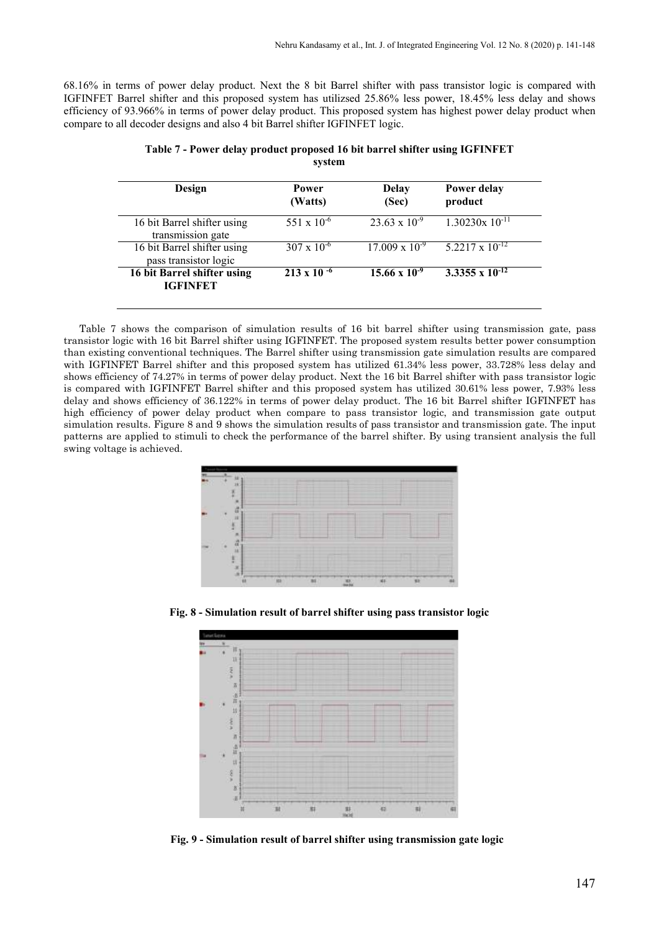68.16% in terms of power delay product. Next the 8 bit Barrel shifter with pass transistor logic is compared with IGFINFET Barrel shifter and this proposed system has utilizsed 25.86% less power, 18.45% less delay and shows efficiency of 93.966% in terms of power delay product. This proposed system has highest power delay product when compare to all decoder designs and also 4 bit Barrel shifter IGFINFET logic.

| Design                                               | Power<br>(Watts)     | <b>Delay</b><br>(Sec)   | Power delay<br>product   |
|------------------------------------------------------|----------------------|-------------------------|--------------------------|
| 16 bit Barrel shifter using<br>transmission gate     | 551 x $10^{-6}$      | $23.63 \times 10^{-9}$  | $1.30230x$ $10^{-11}$    |
| 16 bit Barrel shifter using<br>pass transistor logic | $307 \times 10^{-6}$ | $17.009 \times 10^{-9}$ | $5.2217 \times 10^{-12}$ |
| 16 bit Barrel shifter using<br><b>IGFINFET</b>       | $213 \times 10^{-6}$ | $15.66 \times 10^{-9}$  | 3.3355 x $10^{-12}$      |

**Table 7 - Power delay product proposed 16 bit barrel shifter using IGFINFET system**

Table 7 shows the comparison of simulation results of 16 bit barrel shifter using transmission gate, pass transistor logic with 16 bit Barrel shifter using IGFINFET. The proposed system results better power consumption than existing conventional techniques. The Barrel shifter using transmission gate simulation results are compared with IGFINFET Barrel shifter and this proposed system has utilized 61.34% less power, 33.728% less delay and shows efficiency of 74.27% in terms of power delay product. Next the 16 bit Barrel shifter with pass transistor logic is compared with IGFINFET Barrel shifter and this proposed system has utilized 30.61% less power, 7.93% less delay and shows efficiency of 36.122% in terms of power delay product. The 16 bit Barrel shifter IGFINFET has high efficiency of power delay product when compare to pass transistor logic, and transmission gate output simulation results. Figure 8 and 9 shows the simulation results of pass transistor and transmission gate. The input patterns are applied to stimuli to check the performance of the barrel shifter. By using transient analysis the full swing voltage is achieved.



**Fig. 8 - Simulation result of barrel shifter using pass transistor logic**



**Fig. 9 - Simulation result of barrel shifter using transmission gate logic**